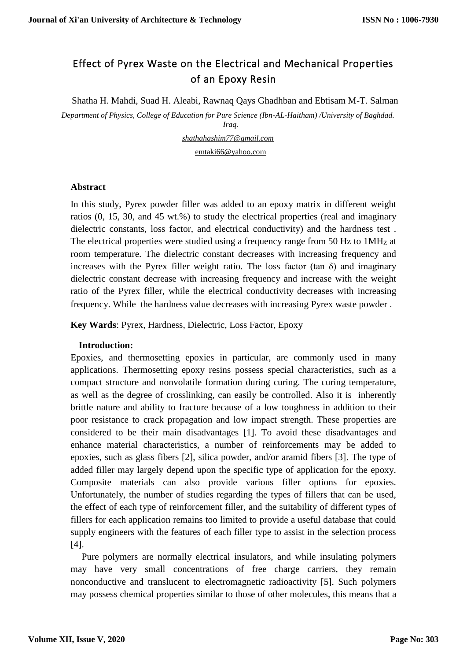# Effect of Pyrex Waste on the Electrical and Mechanical Properties of an Epoxy Resin

Shatha H. Mahdi, Suad H. Aleabi, Rawnaq Qays Ghadhban and Ebtisam M-T. Salman

*Department of Physics, College of Education for Pure Science (Ibn-AL-Haitham) /University of Baghdad. Iraq.*

> *shathahashim77@gmail.com* [emtaki66@yahoo.com](mailto:emtaki66@yahoo.com)

#### **Abstract**

In this study, Pyrex powder filler was added to an epoxy matrix in different weight ratios (0, 15, 30, and 45 wt.%) to study the electrical properties (real and imaginary dielectric constants, loss factor, and electrical conductivity) and the hardness test . The electrical properties were studied using a frequency range from 50 Hz to 1MHz at room temperature. The dielectric constant decreases with increasing frequency and increases with the Pyrex filler weight ratio. The loss factor (tan  $\delta$ ) and imaginary dielectric constant decrease with increasing frequency and increase with the weight ratio of the Pyrex filler, while the electrical conductivity decreases with increasing frequency. While the hardness value decreases with increasing Pyrex waste powder .

**Key Wards**: Pyrex, Hardness, Dielectric, Loss Factor, Epoxy

## **Introduction:**

Epoxies, and thermosetting epoxies in particular, are commonly used in many applications. Thermosetting epoxy resins possess special characteristics, such as a compact structure and nonvolatile formation during curing. The curing temperature, as well as the degree of crosslinking, can easily be controlled. Also it is inherently brittle nature and ability to fracture because of a low toughness in addition to their poor resistance to crack propagation and low impact strength. These properties are considered to be their main disadvantages [1]. To avoid these disadvantages and enhance material characteristics, a number of reinforcements may be added to epoxies, such as glass fibers [2], silica powder, and/or aramid fibers [3]. The type of added filler may largely depend upon the specific type of application for the epoxy. Composite materials can also provide various filler options for epoxies. Unfortunately, the number of studies regarding the types of fillers that can be used, the effect of each type of reinforcement filler, and the suitability of different types of fillers for each application remains too limited to provide a useful database that could supply engineers with the features of each filler type to assist in the selection process [4].

Pure polymers are normally electrical insulators, and while insulating polymers may have very small concentrations of free charge carriers, they remain nonconductive and translucent to electromagnetic radioactivity [5]. Such polymers may possess chemical properties similar to those of other molecules, this means that a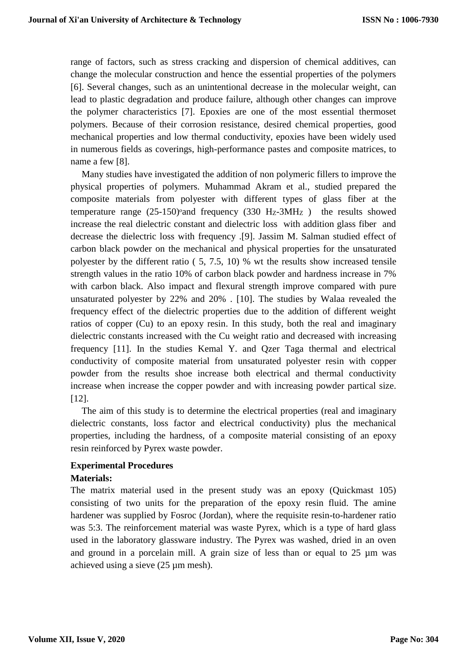range of factors, such as stress cracking and dispersion of chemical additives, can change the molecular construction and hence the essential properties of the polymers [6]. Several changes, such as an unintentional decrease in the molecular weight, can lead to plastic degradation and produce failure, although other changes can improve the polymer characteristics [7]. Epoxies are one of the most essential thermoset polymers. Because of their corrosion resistance, desired chemical properties, good mechanical properties and low thermal conductivity, epoxies have been widely used in numerous fields as coverings, high-performance pastes and composite matrices, to name a few [8].

Many studies have investigated the addition of non polymeric fillers to improve the physical properties of polymers. Muhammad Akram et al., studied prepared the composite materials from polyester with different types of glass fiber at the temperature range  $(25-150)$ <sup>o</sup>and frequency  $(330 H<sub>Z</sub>-3MHz)$  the results showed increase the real dielectric constant and dielectric loss with addition glass fiber and decrease the dielectric loss with frequency .[9]. Jassim M. Salman studied effect of carbon black powder on the mechanical and physical properties for the unsaturated polyester by the different ratio ( 5, 7.5, 10) % wt the results show increased tensile strength values in the ratio 10% of carbon black powder and hardness increase in 7% with carbon black. Also impact and flexural strength improve compared with pure unsaturated polyester by 22% and 20% . [10]. The studies by Walaa revealed the frequency effect of the dielectric properties due to the addition of different weight ratios of copper (Cu) to an epoxy resin. In this study, both the real and imaginary dielectric constants increased with the Cu weight ratio and decreased with increasing frequency [11]. In the studies Kemal Y. and Qzer Taga thermal and electrical conductivity of composite material from unsaturated polyester resin with copper powder from the results shoe increase both electrical and thermal conductivity increase when increase the copper powder and with increasing powder partical size. [12].

The aim of this study is to determine the electrical properties (real and imaginary dielectric constants, loss factor and electrical conductivity) plus the mechanical properties, including the hardness, of a composite material consisting of an epoxy resin reinforced by Pyrex waste powder.

## **Experimental Procedures**

## **Materials:**

The matrix material used in the present study was an epoxy (Quickmast 105) consisting of two units for the preparation of the epoxy resin fluid. The amine hardener was supplied by Fosroc (Jordan), where the requisite resin-to-hardener ratio was 5:3. The reinforcement material was waste Pyrex, which is a type of hard glass used in the laboratory glassware industry. The Pyrex was washed, dried in an oven and ground in a porcelain mill. A grain size of less than or equal to  $25 \mu m$  was achieved using a sieve (25 µm mesh).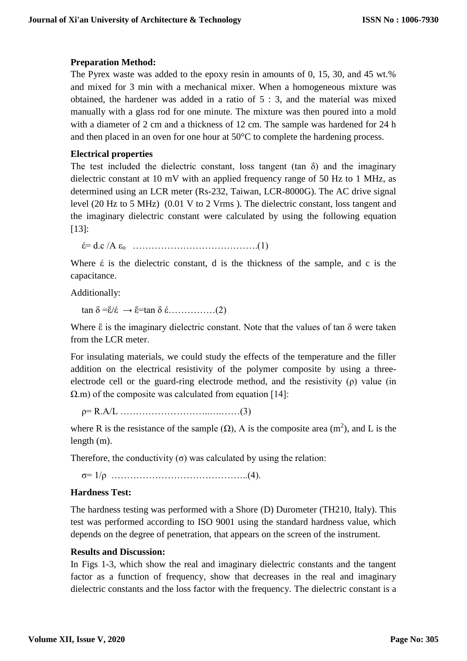# **Preparation Method:**

The Pyrex waste was added to the epoxy resin in amounts of 0, 15, 30, and 45 wt.% and mixed for 3 min with a mechanical mixer. When a homogeneous mixture was obtained, the hardener was added in a ratio of 5 : 3, and the material was mixed manually with a glass rod for one minute. The mixture was then poured into a mold with a diameter of 2 cm and a thickness of 12 cm. The sample was hardened for 24 h and then placed in an oven for one hour at 50°C to complete the hardening process.

## **Electrical properties**

The test included the dielectric constant, loss tangent (tan  $\delta$ ) and the imaginary dielectric constant at 10 mV with an applied frequency range of 50 Hz to 1 MHz, as determined using an LCR meter (Rs-232, Taiwan, LCR-8000G). The AC drive signal level (20 Hz to 5 MHz) (0.01 V to 2 Vrms ). The dielectric constant, loss tangent and the imaginary dielectric constant were calculated by using the following equation [13]:

έ= d.c /A εo ………………………………….(1)

Where  $\acute{\epsilon}$  is the dielectric constant, d is the thickness of the sample, and c is the capacitance.

Additionally:

tan δ =ἕ/έ → ἕ=tan δ έ……………(2)

Where  $\tilde{\varepsilon}$  is the imaginary dielectric constant. Note that the values of tan  $\delta$  were taken from the LCR meter.

For insulating materials, we could study the effects of the temperature and the filler addition on the electrical resistivity of the polymer composite by using a threeelectrode cell or the guard-ring electrode method, and the resistivity (ρ) value (in  $\Omega$ .m) of the composite was calculated from equation [14]:

ρ= R.A/L ………………………..….……(3)

where R is the resistance of the sample  $(\Omega)$ , A is the composite area  $(m^2)$ , and L is the length (m).

Therefore, the conductivity  $(\sigma)$  was calculated by using the relation:

σ= 1/ρ ……………………………………..(4).

## **Hardness Test:**

The hardness testing was performed with a Shore (D) Durometer (TH210, Italy). This test was performed according to ISO 9001 using the standard hardness value, which depends on the degree of penetration, that appears on the screen of the instrument.

#### **Results and Discussion:**

In Figs 1-3, which show the real and imaginary dielectric constants and the tangent factor as a function of frequency, show that decreases in the real and imaginary dielectric constants and the loss factor with the frequency. The dielectric constant is a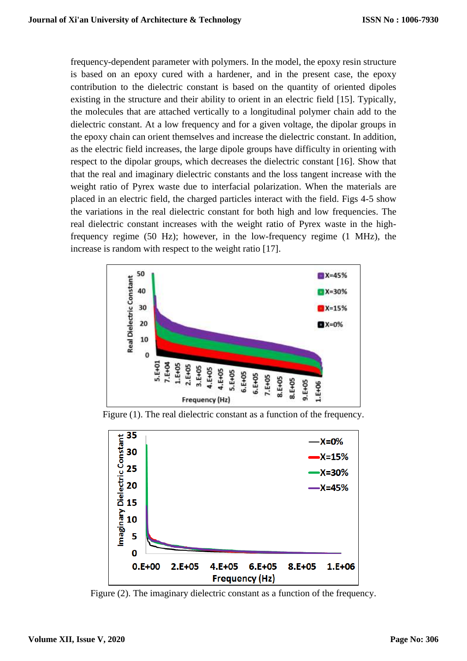frequency-dependent parameter with polymers. In the model, the epoxy resin structure is based on an epoxy cured with a hardener, and in the present case, the epoxy contribution to the dielectric constant is based on the quantity of oriented dipoles existing in the structure and their ability to orient in an electric field [15]. Typically, the molecules that are attached vertically to a longitudinal polymer chain add to the dielectric constant. At a low frequency and for a given voltage, the dipolar groups in the epoxy chain can orient themselves and increase the dielectric constant. In addition, as the electric field increases, the large dipole groups have difficulty in orienting with respect to the dipolar groups, which decreases the dielectric constant [16]. Show that that the real and imaginary dielectric constants and the loss tangent increase with the weight ratio of Pyrex waste due to interfacial polarization. When the materials are placed in an electric field, the charged particles interact with the field. Figs 4-5 show the variations in the real dielectric constant for both high and low frequencies. The real dielectric constant increases with the weight ratio of Pyrex waste in the highfrequency regime (50 Hz); however, in the low-frequency regime (1 MHz), the increase is random with respect to the weight ratio [17].



Figure (1). The real dielectric constant as a function of the frequency.



Figure (2). The imaginary dielectric constant as a function of the frequency.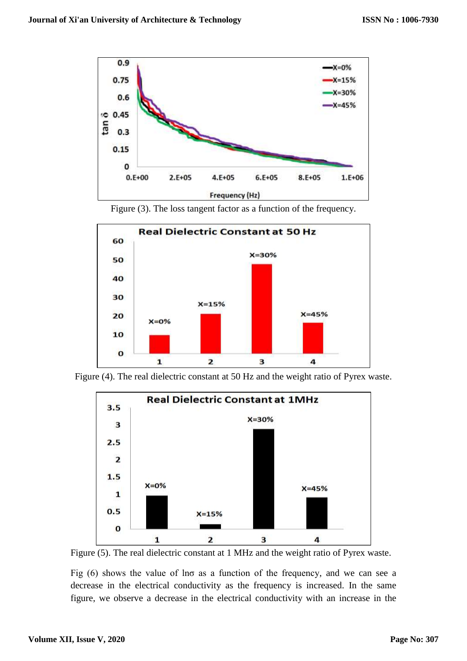





Figure (4). The real dielectric constant at 50 Hz and the weight ratio of Pyrex waste.



Figure (5). The real dielectric constant at 1 MHz and the weight ratio of Pyrex waste.

Fig  $(6)$  shows the value of lno as a function of the frequency, and we can see a decrease in the electrical conductivity as the frequency is increased. In the same figure, we observe a decrease in the electrical conductivity with an increase in the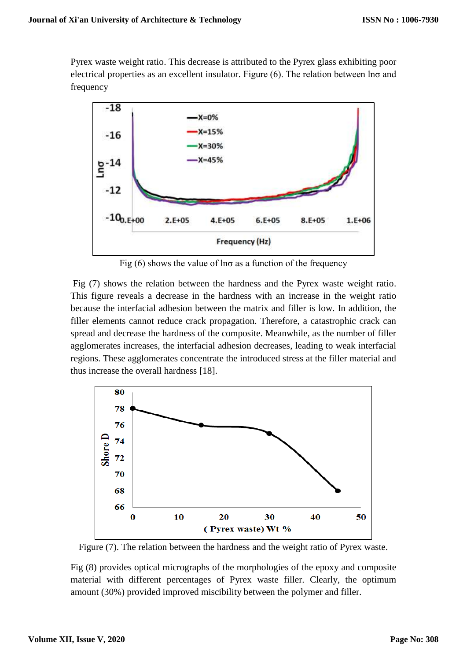Pyrex waste weight ratio. This decrease is attributed to the Pyrex glass exhibiting poor electrical properties as an excellent insulator. Figure (6). The relation between lnσ and frequency



Fig  $(6)$  shows the value of lno as a function of the frequency

Fig (7) shows the relation between the hardness and the Pyrex waste weight ratio. This figure reveals a decrease in the hardness with an increase in the weight ratio because the interfacial adhesion between the matrix and filler is low. In addition, the filler elements cannot reduce crack propagation. Therefore, a catastrophic crack can spread and decrease the hardness of the composite. Meanwhile, as the number of filler agglomerates increases, the interfacial adhesion decreases, leading to weak interfacial regions. These agglomerates concentrate the introduced stress at the filler material and thus increase the overall hardness [18].



Figure (7). The relation between the hardness and the weight ratio of Pyrex waste.

Fig (8) provides optical micrographs of the morphologies of the epoxy and composite material with different percentages of Pyrex waste filler. Clearly, the optimum amount (30%) provided improved miscibility between the polymer and filler.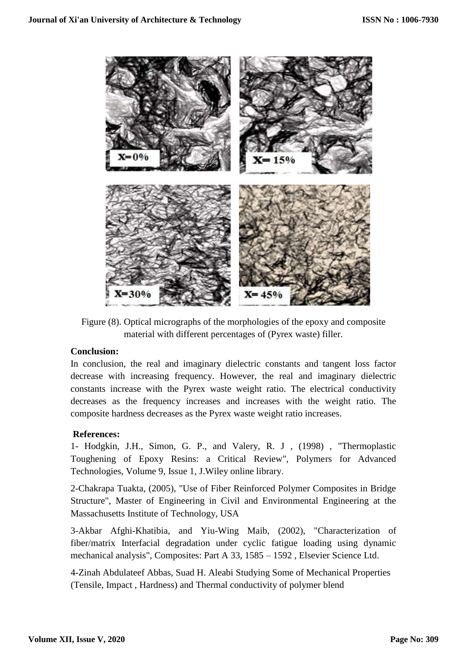

Figure (8). Optical micrographs of the morphologies of the epoxy and composite material with different percentages of (Pyrex waste) filler.

## **Conclusion:**

In conclusion, the real and imaginary dielectric constants and tangent loss factor decrease with increasing frequency. However, the real and imaginary dielectric constants increase with the Pyrex waste weight ratio. The electrical conductivity decreases as the frequency increases and increases with the weight ratio. The composite hardness decreases as the Pyrex waste weight ratio increases.

## **References:**

1- Hodgkin, J.H., Simon, G. P., and Valery, R. J , (1998) , "Thermoplastic Toughening of Epoxy Resins: a Critical Review", Polymers for Advanced Technologies, Volume 9, Issue 1, J.Wiley online library.

2-Chakrapa Tuakta, (2005), "Use of Fiber Reinforced Polymer Composites in Bridge Structure", Master of Engineering in Civil and Environmental Engineering at the Massachusetts Institute of Technology, USA

3-Akbar Afghi-Khatibia, and Yiu-Wing Maib, (2002), "Characterization of fiber/matrix Interfacial degradation under cyclic fatigue loading using dynamic mechanical analysis", Composites: Part A 33, 1585 – 1592 , Elsevier Science Ltd.

4-Zinah Abdulateef Abbas, Suad H. Aleabi Studying Some of Mechanical Properties (Tensile, Impact , Hardness) and Thermal conductivity of polymer blend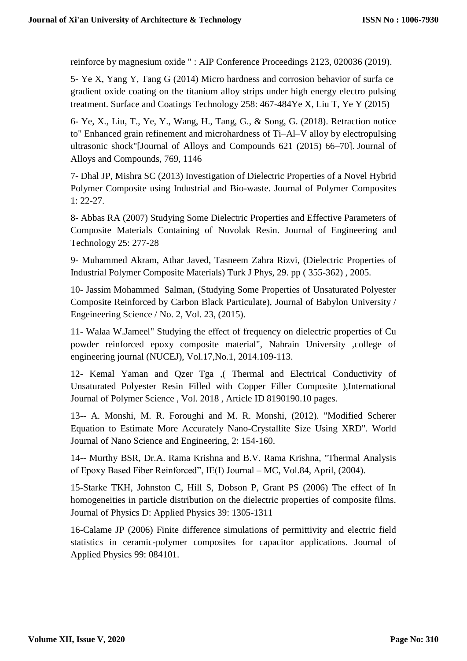reinforce by magnesium oxide " : AIP Conference Proceedings 2123, 020036 (2019).

5- Ye X, Yang Y, Tang G (2014) Micro hardness and corrosion behavior of surfa ce gradient oxide coating on the titanium alloy strips under high energy electro pulsing treatment. Surface and Coatings Technology 258: 467-484Ye X, Liu T, Ye Y (2015)

6- Ye, X., Liu, T., Ye, Y., Wang, H., Tang, G., & Song, G. (2018). Retraction notice to" Enhanced grain refinement and microhardness of Ti–Al–V alloy by electropulsing ultrasonic shock"[Journal of Alloys and Compounds 621 (2015) 66–70]. Journal of Alloys and Compounds, 769, 1146

7- Dhal JP, Mishra SC (2013) Investigation of Dielectric Properties of a Novel Hybrid Polymer Composite using Industrial and Bio-waste. Journal of Polymer Composites 1: 22-27.

8- Abbas RA (2007) Studying Some Dielectric Properties and Effective Parameters of Composite Materials Containing of Novolak Resin. Journal of Engineering and Technology 25: 277-28

9- Muhammed Akram, Athar Javed, Tasneem Zahra Rizvi, (Dielectric Properties of Industrial Polymer Composite Materials) Turk J Phys, 29. pp ( 355-362) , 2005.

10- Jassim Mohammed Salman, (Studying Some Properties of Unsaturated Polyester Composite Reinforced by Carbon Black Particulate), Journal of Babylon University / Engeineering Science / No. 2, Vol. 23, (2015).

11- Walaa W.Jameel" Studying the effect of frequency on dielectric properties of Cu powder reinforced epoxy composite material", Nahrain University ,college of engineering journal (NUCEJ), Vol.17,No.1, 2014.109-113.

12- Kemal Yaman and Qzer Tga ,( Thermal and Electrical Conductivity of Unsaturated Polyester Resin Filled with Copper Filler Composite ),International Journal of Polymer Science , Vol. 2018 , Article ID 8190190.10 pages.

13-- A. Monshi, M. R. Foroughi and M. R. Monshi, (2012). "Modified Scherer Equation to Estimate More Accurately Nano-Crystallite Size Using XRD". World Journal of Nano Science and Engineering, 2: 154-160.

14-- Murthy BSR, Dr.A. Rama Krishna and B.V. Rama Krishna, "Thermal Analysis of Epoxy Based Fiber Reinforced", IE(I) Journal – MC, Vol.84, April, (2004).

15-Starke TKH, Johnston C, Hill S, Dobson P, Grant PS (2006) The effect of In homogeneities in particle distribution on the dielectric properties of composite films. Journal of Physics D: Applied Physics 39: 1305-1311

16-Calame JP (2006) Finite difference simulations of permittivity and electric field statistics in ceramic-polymer composites for capacitor applications. Journal of Applied Physics 99: 084101.